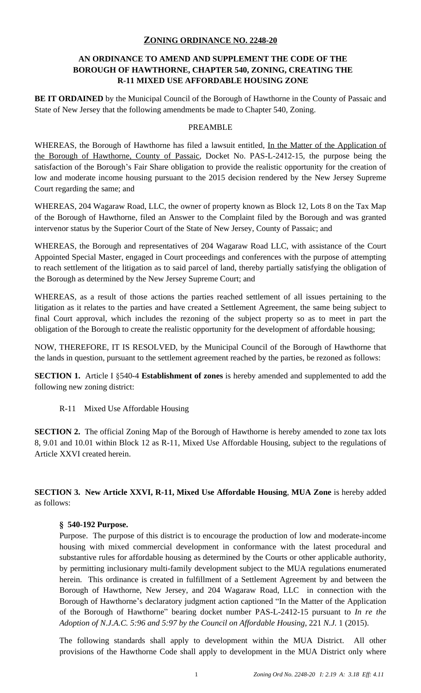# **ZONING ORDINANCE NO. 2248-20**

# **AN ORDINANCE TO AMEND AND SUPPLEMENT THE CODE OF THE BOROUGH OF HAWTHORNE, CHAPTER 540, ZONING, CREATING THE R-11 MIXED USE AFFORDABLE HOUSING ZONE**

**BE IT ORDAINED** by the Municipal Council of the Borough of Hawthorne in the County of Passaic and State of New Jersey that the following amendments be made to Chapter 540, Zoning.

#### PREAMBLE

WHEREAS, the Borough of Hawthorne has filed a lawsuit entitled, In the Matter of the Application of the Borough of Hawthorne, County of Passaic, Docket No. PAS-L-2412-15, the purpose being the satisfaction of the Borough's Fair Share obligation to provide the realistic opportunity for the creation of low and moderate income housing pursuant to the 2015 decision rendered by the New Jersey Supreme Court regarding the same; and

WHEREAS, 204 Wagaraw Road, LLC, the owner of property known as Block 12, Lots 8 on the Tax Map of the Borough of Hawthorne, filed an Answer to the Complaint filed by the Borough and was granted intervenor status by the Superior Court of the State of New Jersey, County of Passaic; and

WHEREAS, the Borough and representatives of 204 Wagaraw Road LLC, with assistance of the Court Appointed Special Master, engaged in Court proceedings and conferences with the purpose of attempting to reach settlement of the litigation as to said parcel of land, thereby partially satisfying the obligation of the Borough as determined by the New Jersey Supreme Court; and

WHEREAS, as a result of those actions the parties reached settlement of all issues pertaining to the litigation as it relates to the parties and have created a Settlement Agreement, the same being subject to final Court approval, which includes the rezoning of the subject property so as to meet in part the obligation of the Borough to create the realistic opportunity for the development of affordable housing;

NOW, THEREFORE, IT IS RESOLVED, by the Municipal Council of the Borough of Hawthorne that the lands in question, pursuant to the settlement agreement reached by the parties, be rezoned as follows:

**SECTION 1.** Article I §540-4 **Establishment of zones** is hereby amended and supplemented to add the following new zoning district:

R-11 Mixed Use Affordable Housing

**SECTION 2.** The official Zoning Map of the Borough of Hawthorne is hereby amended to zone tax lots 8, 9.01 and 10.01 within Block 12 as R-11, Mixed Use Affordable Housing, subject to the regulations of Article XXVI created herein.

**SECTION 3. New Article XXVI, R-11, Mixed Use Affordable Housing**, **MUA Zone** is hereby added as follows:

# **§ 540-192 Purpose.**

Purpose. The purpose of this district is to encourage the production of low and moderate-income housing with mixed commercial development in conformance with the latest procedural and substantive rules for affordable housing as determined by the Courts or other applicable authority, by permitting inclusionary multi-family development subject to the MUA regulations enumerated herein. This ordinance is created in fulfillment of a Settlement Agreement by and between the Borough of Hawthorne, New Jersey, and 204 Wagaraw Road, LLC in connection with the Borough of Hawthorne's declaratory judgment action captioned "In the Matter of the Application of the Borough of Hawthorne" bearing docket number PAS-L-2412-15 pursuant to *In re the Adoption of N.J.A.C. 5:96 and 5:97 by the Council on Affordable Housing*, 221 *N.J.* 1 (2015).

The following standards shall apply to development within the MUA District. All other provisions of the Hawthorne Code shall apply to development in the MUA District only where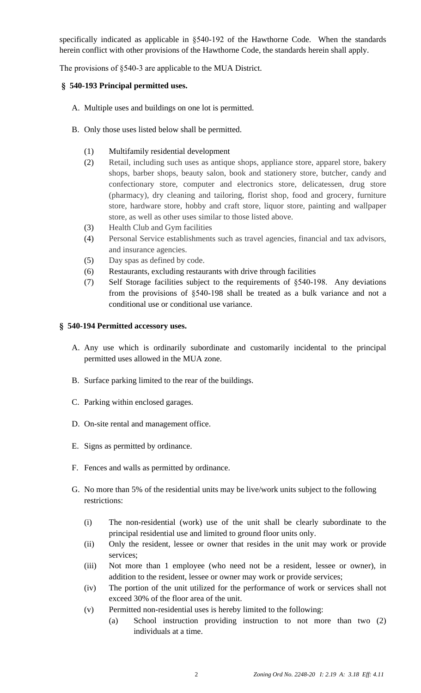specifically indicated as applicable in §540-192 of the Hawthorne Code. When the standards herein conflict with other provisions of the Hawthorne Code, the standards herein shall apply.

The provisions of §540-3 are applicable to the MUA District.

# **§ 540-193 Principal permitted uses.**

- A. Multiple uses and buildings on one lot is permitted.
- B. Only those uses listed below shall be permitted.
	- (1) Multifamily residential development
	- (2) Retail, including such uses as antique shops, appliance store, apparel store, bakery shops, barber shops, beauty salon, book and stationery store, butcher, candy and confectionary store, computer and electronics store, delicatessen, drug store (pharmacy), dry cleaning and tailoring, florist shop, food and grocery, furniture store, hardware store, hobby and craft store, liquor store, painting and wallpaper store, as well as other uses similar to those listed above.
	- (3) Health Club and Gym facilities
	- (4) Personal Service establishments such as travel agencies, financial and tax advisors, and insurance agencies.
	- (5) Day spas as defined by code.
	- (6) Restaurants, excluding restaurants with drive through facilities
	- (7) Self Storage facilities subject to the requirements of §540-198. Any deviations from the provisions of §540-198 shall be treated as a bulk variance and not a conditional use or conditional use variance.

### **§ 540-194 Permitted accessory uses.**

- A. Any use which is ordinarily subordinate and customarily incidental to the principal permitted uses allowed in the MUA zone.
- B. Surface parking limited to the rear of the buildings.
- C. Parking within enclosed garages.
- D. On-site rental and management office.
- E. Signs as permitted by ordinance.
- F. Fences and walls as permitted by ordinance.
- G. No more than 5% of the residential units may be live/work units subject to the following restrictions:
	- (i) The non-residential (work) use of the unit shall be clearly subordinate to the principal residential use and limited to ground floor units only.
	- (ii) Only the resident, lessee or owner that resides in the unit may work or provide services;
	- (iii) Not more than 1 employee (who need not be a resident, lessee or owner), in addition to the resident, lessee or owner may work or provide services;
	- (iv) The portion of the unit utilized for the performance of work or services shall not exceed 30% of the floor area of the unit.
	- (v) Permitted non-residential uses is hereby limited to the following:
		- (a) School instruction providing instruction to not more than two (2) individuals at a time.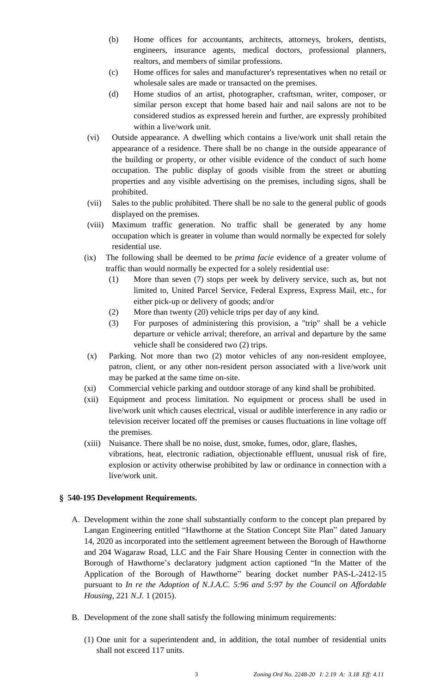- (b) Home offices for accountants, architects, attorneys, brokers, dentists, engineers, insurance agents, medical doctors, professional planners, realtors, and members of similar professions.
- (c) Home offices for sales and manufacturer's representatives when no retail or wholesale sales are made or transacted on the premises.
- (d) Home studios of an artist, photographer, craftsman, writer, composer, or similar person except that home based hair and nail salons are not to be considered studios as expressed herein and further, are expressly prohibited within a live/work unit.
- (vi) Outside appearance. A dwelling which contains a live/work unit shall retain the appearance of a residence. There shall be no change in the outside appearance of the building or property, or other visible evidence of the conduct of such home occupation. The public display of goods visible from the street or abutting properties and any visible advertising on the premises, including signs, shall be prohibited.
- (vii) Sales to the public prohibited. There shall be no sale to the general public of goods displayed on the premises.
- (viii) Maximum traffic generation. No traffic shall be generated by any home occupation which is greater in volume than would normally be expected for solely residential use.
- (ix) The following shall be deemed to be *prima facie* evidence of a greater volume of traffic than would normally be expected for a solely residential use:
	- (1) More than seven (7) stops per week by delivery service, such as, but not limited to, United Parcel Service, Federal Express, Express Mail, etc., for either pick-up or delivery of goods; and/or
	- (2) More than twenty (20) vehicle trips per day of any kind.
	- (3) For purposes of administering this provision, a "trip" shall be a vehicle departure or vehicle arrival; therefore, an arrival and departure by the same vehicle shall be considered two (2) trips.
- (x) Parking. Not more than two (2) motor vehicles of any non-resident employee, patron, client, or any other non-resident person associated with a live/work unit may be parked at the same time on-site.
- (xi) Commercial vehicle parking and outdoor storage of any kind shall be prohibited.
- (xii) Equipment and process limitation. No equipment or process shall be used in live/work unit which causes electrical, visual or audible interference in any radio or television receiver located off the premises or causes fluctuations in line voltage off the premises.
- (xiii) Nuisance. There shall be no noise, dust, smoke, fumes, odor, glare, flashes, vibrations, heat, electronic radiation, objectionable effluent, unusual risk of fire, explosion or activity otherwise prohibited by law or ordinance in connection with a live/work unit.

# **§ 540-195 Development Requirements.**

- A. Development within the zone shall substantially conform to the concept plan prepared by Langan Engineering entitled "Hawthorne at the Station Concept Site Plan" dated January 14, 2020 as incorporated into the settlement agreement between the Borough of Hawthorne and 204 Wagaraw Road, LLC and the Fair Share Housing Center in connection with the Borough of Hawthorne's declaratory judgment action captioned "In the Matter of the Application of the Borough of Hawthorne" bearing docket number PAS-L-2412-15 pursuant to *In re the Adoption of N.J.A.C. 5:96 and 5:97 by the Council on Affordable Housing*, 221 *N.J.* 1 (2015).
- B. Development of the zone shall satisfy the following minimum requirements:
	- (1) One unit for a superintendent and, in addition, the total number of residential units shall not exceed 117 units.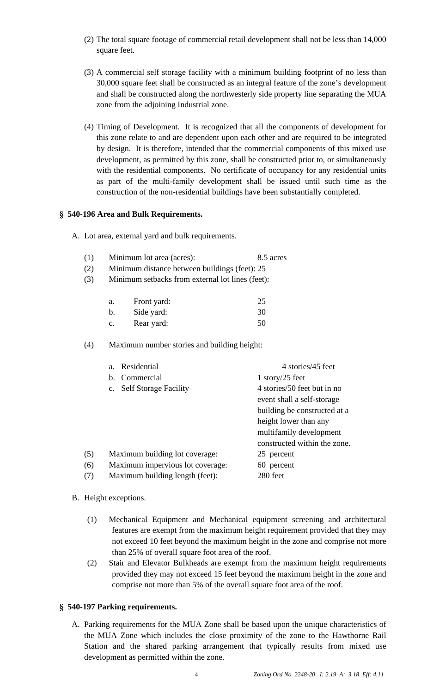- (2) The total square footage of commercial retail development shall not be less than 14,000 square feet.
- (3) A commercial self storage facility with a minimum building footprint of no less than 30,000 square feet shall be constructed as an integral feature of the zone's development and shall be constructed along the northwesterly side property line separating the MUA zone from the adjoining Industrial zone.
- (4) Timing of Development. It is recognized that all the components of development for this zone relate to and are dependent upon each other and are required to be integrated by design. It is therefore, intended that the commercial components of this mixed use development, as permitted by this zone, shall be constructed prior to, or simultaneously with the residential components. No certificate of occupancy for any residential units as part of the multi-family development shall be issued until such time as the construction of the non-residential buildings have been substantially completed.

### **§ 540-196 Area and Bulk Requirements.**

- A. Lot area, external yard and bulk requirements.
	- (1) Minimum lot area (acres): 8.5 acres
	- (2) Minimum distance between buildings (feet): 25
	- (3) Minimum setbacks from external lot lines (feet):

| a. | Front yard: | 25 |
|----|-------------|----|
| b. | Side yard:  | 30 |
| c. | Rear yard:  | 50 |

(4) Maximum number stories and building height:

|     | Residential<br>a <sub>z</sub>               | 4 stories/45 feet                                         |
|-----|---------------------------------------------|-----------------------------------------------------------|
|     | b. Commercial                               | 1 story/25 feet                                           |
|     | <b>Self Storage Facility</b><br>$c_{\cdot}$ | 4 stories/50 feet but in no<br>event shall a self-storage |
|     |                                             | building be constructed at a                              |
|     |                                             | height lower than any                                     |
|     |                                             | multifamily development                                   |
|     |                                             | constructed within the zone.                              |
| (5) | Maximum building lot coverage:              | 25 percent                                                |
| (6) | Maximum impervious lot coverage:            | 60 percent                                                |
| (7) | Maximum building length (feet):             | 280 feet                                                  |

#### B. Height exceptions.

- (1) Mechanical Equipment and Mechanical equipment screening and architectural features are exempt from the maximum height requirement provided that they may not exceed 10 feet beyond the maximum height in the zone and comprise not more than 25% of overall square foot area of the roof.
- (2) Stair and Elevator Bulkheads are exempt from the maximum height requirements provided they may not exceed 15 feet beyond the maximum height in the zone and comprise not more than 5% of the overall square foot area of the roof.

# **§ 540-197 Parking requirements.**

A. Parking requirements for the MUA Zone shall be based upon the unique characteristics of the MUA Zone which includes the close proximity of the zone to the Hawthorne Rail Station and the shared parking arrangement that typically results from mixed use development as permitted within the zone.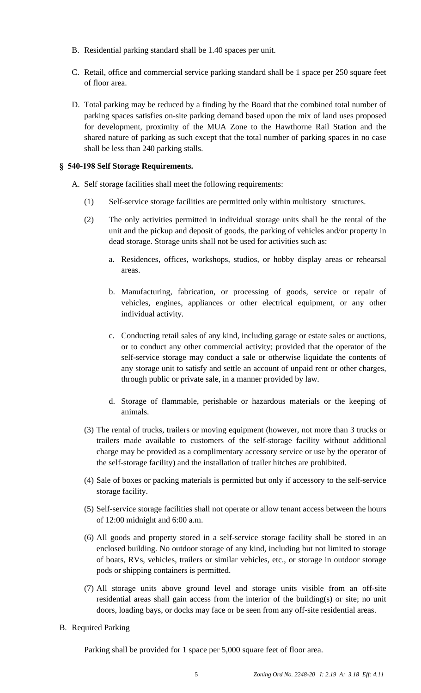- B. Residential parking standard shall be 1.40 spaces per unit.
- C. Retail, office and commercial service parking standard shall be 1 space per 250 square feet of floor area.
- D. Total parking may be reduced by a finding by the Board that the combined total number of parking spaces satisfies on-site parking demand based upon the mix of land uses proposed for development, proximity of the MUA Zone to the Hawthorne Rail Station and the shared nature of parking as such except that the total number of parking spaces in no case shall be less than 240 parking stalls.

## **§ 540-198 Self Storage Requirements.**

A. Self storage facilities shall meet the following requirements:

- (1) Self-service storage facilities are permitted only within multistory structures.
- (2) The only activities permitted in individual storage units shall be the rental of the unit and the pickup and deposit of goods, the parking of vehicles and/or property in dead storage. Storage units shall not be used for activities such as:
	- a. Residences, offices, workshops, studios, or hobby display areas or rehearsal areas.
	- b. Manufacturing, fabrication, or processing of goods, service or repair of vehicles, engines, appliances or other electrical equipment, or any other individual activity.
	- c. Conducting retail sales of any kind, including garage or estate sales or auctions, or to conduct any other commercial activity; provided that the operator of the self-service storage may conduct a sale or otherwise liquidate the contents of any storage unit to satisfy and settle an account of unpaid rent or other charges, through public or private sale, in a manner provided by law.
	- d. Storage of flammable, perishable or hazardous materials or the keeping of animals.
- (3) The rental of trucks, trailers or moving equipment (however, not more than 3 trucks or trailers made available to customers of the self-storage facility without additional charge may be provided as a complimentary accessory service or use by the operator of the self-storage facility) and the installation of trailer hitches are prohibited.
- (4) Sale of boxes or packing materials is permitted but only if accessory to the self-service storage facility.
- (5) Self-service storage facilities shall not operate or allow tenant access between the hours of 12:00 midnight and 6:00 a.m.
- (6) All goods and property stored in a self-service storage facility shall be stored in an enclosed building. No outdoor storage of any kind, including but not limited to storage of boats, RVs, vehicles, trailers or similar vehicles, etc., or storage in outdoor storage pods or shipping containers is permitted.
- (7) All storage units above ground level and storage units visible from an off-site residential areas shall gain access from the interior of the building(s) or site; no unit doors, loading bays, or docks may face or be seen from any off-site residential areas.
- B. Required Parking

Parking shall be provided for 1 space per 5,000 square feet of floor area.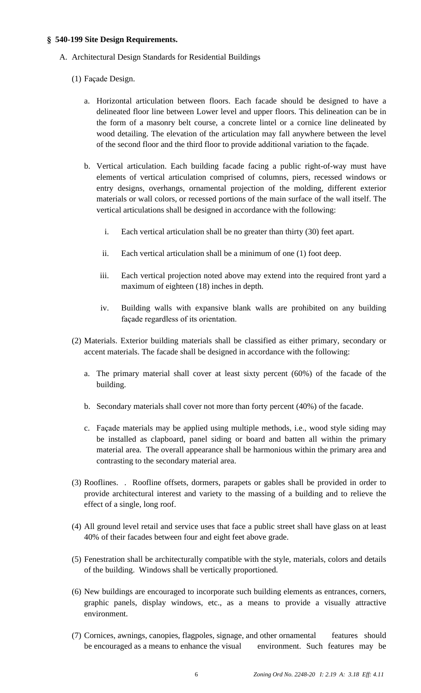### **§ 540-199 Site Design Requirements.**

- A. Architectural Design Standards for Residential Buildings
	- (1) Façade Design.
		- a. Horizontal articulation between floors. Each facade should be designed to have a delineated floor line between Lower level and upper floors. This delineation can be in the form of a masonry belt course, a concrete lintel or a cornice line delineated by wood detailing. The elevation of the articulation may fall anywhere between the level of the second floor and the third floor to provide additional variation to the façade.
		- b. Vertical articulation. Each building facade facing a public right-of-way must have elements of vertical articulation comprised of columns, piers, recessed windows or entry designs, overhangs, ornamental projection of the molding, different exterior materials or wall colors, or recessed portions of the main surface of the wall itself. The vertical articulations shall be designed in accordance with the following:
			- i. Each vertical articulation shall be no greater than thirty (30) feet apart.
			- ii. Each vertical articulation shall be a minimum of one (1) foot deep.
			- iii. Each vertical projection noted above may extend into the required front yard a maximum of eighteen (18) inches in depth.
			- iv. Building walls with expansive blank walls are prohibited on any building façade regardless of its orientation.
	- (2) Materials. Exterior building materials shall be classified as either primary, secondary or accent materials. The facade shall be designed in accordance with the following:
		- a. The primary material shall cover at least sixty percent (60%) of the facade of the building.
		- b. Secondary materials shall cover not more than forty percent (40%) of the facade.
		- c. Façade materials may be applied using multiple methods, i.e., wood style siding may be installed as clapboard, panel siding or board and batten all within the primary material area. The overall appearance shall be harmonious within the primary area and contrasting to the secondary material area.
	- (3) Rooflines. . Roofline offsets, dormers, parapets or gables shall be provided in order to provide architectural interest and variety to the massing of a building and to relieve the effect of a single, long roof.
	- (4) All ground level retail and service uses that face a public street shall have glass on at least 40% of their facades between four and eight feet above grade.
	- (5) Fenestration shall be architecturally compatible with the style, materials, colors and details of the building. Windows shall be vertically proportioned.
	- (6) New buildings are encouraged to incorporate such building elements as entrances, corners, graphic panels, display windows, etc., as a means to provide a visually attractive environment.
	- (7) Cornices, awnings, canopies, flagpoles, signage, and other ornamental features should be encouraged as a means to enhance the visual environment. Such features may be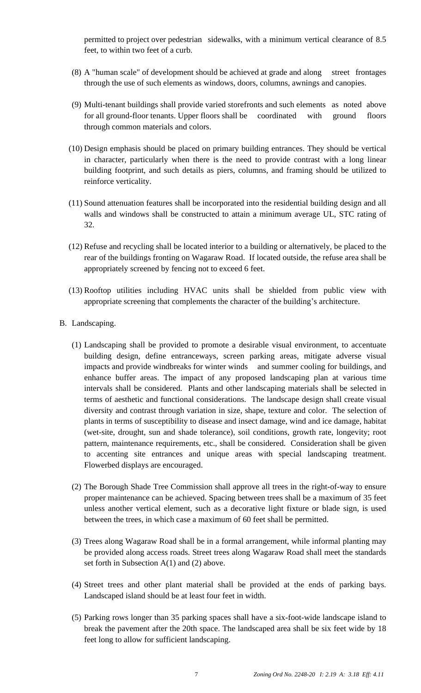permitted to project over pedestrian sidewalks, with a minimum vertical clearance of 8.5 feet, to within two feet of a curb.

- (8) A "human scale" of development should be achieved at grade and along street frontages through the use of such elements as windows, doors, columns, awnings and canopies.
- (9) Multi-tenant buildings shall provide varied storefronts and such elements as noted above for all ground-floor tenants. Upper floors shall be coordinated with ground floors through common materials and colors.
- (10) Design emphasis should be placed on primary building entrances. They should be vertical in character, particularly when there is the need to provide contrast with a long linear building footprint, and such details as piers, columns, and framing should be utilized to reinforce verticality.
- (11) Sound attenuation features shall be incorporated into the residential building design and all walls and windows shall be constructed to attain a minimum average UL, STC rating of 32.
- (12) Refuse and recycling shall be located interior to a building or alternatively, be placed to the rear of the buildings fronting on Wagaraw Road. If located outside, the refuse area shall be appropriately screened by fencing not to exceed 6 feet.
- (13) Rooftop utilities including HVAC units shall be shielded from public view with appropriate screening that complements the character of the building's architecture.
- B. Landscaping.
	- (1) Landscaping shall be provided to promote a desirable visual environment, to accentuate building design, define entranceways, screen parking areas, mitigate adverse visual impacts and provide windbreaks for winter winds and summer cooling for buildings*,* and enhance buffer areas. The impact of any proposed landscaping plan at various time intervals shall be considered. Plants and other landscaping materials shall be selected in terms of aesthetic and functional considerations. The landscape design shall create visual diversity and contrast through variation in size, shape, texture and color. The selection of plants in terms of susceptibility to disease and insect damage, wind and ice damage, habitat (wet-site, drought, sun and shade tolerance), soil conditions, growth rate, longevity; root pattern, maintenance requirements, etc., shall be considered. Consideration shall be given to accenting site entrances and unique areas with special landscaping treatment. Flowerbed displays are encouraged.
	- (2) The Borough Shade Tree Commission shall approve all trees in the right-of-way to ensure proper maintenance can be achieved. Spacing between trees shall be a maximum of 35 feet unless another vertical element, such as a decorative light fixture or blade sign, is used between the trees, in which case a maximum of 60 feet shall be permitted.
	- (3) Trees along Wagaraw Road shall be in a formal arrangement, while informal planting may be provided along access roads. Street trees along Wagaraw Road shall meet the standards set forth in Subsection A(1) and (2) above.
	- (4) Street trees and other plant material shall be provided at the ends of parking bays. Landscaped island should be at least four feet in width.
	- (5) Parking rows longer than 35 parking spaces shall have a six-foot-wide landscape island to break the pavement after the 20th space. The landscaped area shall be six feet wide by 18 feet long to allow for sufficient landscaping.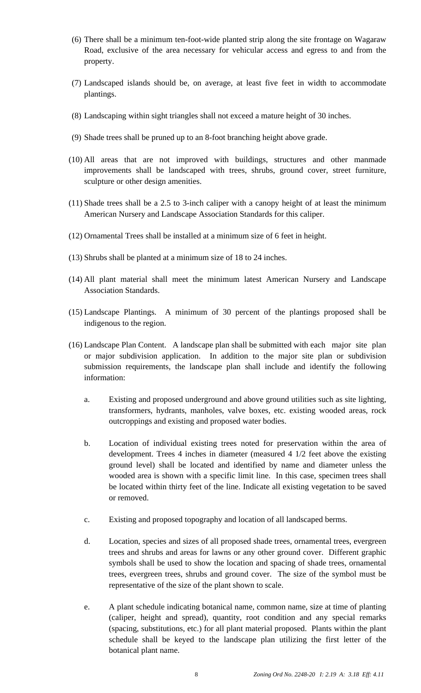- (6) There shall be a minimum ten-foot-wide planted strip along the site frontage on Wagaraw Road, exclusive of the area necessary for vehicular access and egress to and from the property.
- (7) Landscaped islands should be, on average, at least five feet in width to accommodate plantings.
- (8) Landscaping within sight triangles shall not exceed a mature height of 30 inches.
- (9) Shade trees shall be pruned up to an 8-foot branching height above grade.
- (10) All areas that are not improved with buildings, structures and other manmade improvements shall be landscaped with trees, shrubs, ground cover, street furniture, sculpture or other design amenities.
- (11) Shade trees shall be a 2.5 to 3-inch caliper with a canopy height of at least the minimum American Nursery and Landscape Association Standards for this caliper.
- (12) Ornamental Trees shall be installed at a minimum size of 6 feet in height.
- (13) Shrubs shall be planted at a minimum size of 18 to 24 inches.
- (14) All plant material shall meet the minimum latest American Nursery and Landscape Association Standards.
- (15) Landscape Plantings. A minimum of 30 percent of the plantings proposed shall be indigenous to the region.
- (16) Landscape Plan Content. A landscape plan shall be submitted with each major site plan or major subdivision application. In addition to the major site plan or subdivision submission requirements, the landscape plan shall include and identify the following information:
	- a. Existing and proposed underground and above ground utilities such as site lighting, transformers, hydrants, manholes, valve boxes, etc. existing wooded areas, rock outcroppings and existing and proposed water bodies.
	- b. Location of individual existing trees noted for preservation within the area of development. Trees 4 inches in diameter (measured 4 1/2 feet above the existing ground level) shall be located and identified by name and diameter unless the wooded area is shown with a specific limit line. In this case, specimen trees shall be located within thirty feet of the line. Indicate all existing vegetation to be saved or removed.
	- c. Existing and proposed topography and location of all landscaped berms.
	- d. Location, species and sizes of all proposed shade trees, ornamental trees, evergreen trees and shrubs and areas for lawns or any other ground cover. Different graphic symbols shall be used to show the location and spacing of shade trees, ornamental trees, evergreen trees, shrubs and ground cover. The size of the symbol must be representative of the size of the plant shown to scale.
	- e. A plant schedule indicating botanical name, common name, size at time of planting (caliper, height and spread), quantity, root condition and any special remarks (spacing, substitutions, etc.) for all plant material proposed. Plants within the plant schedule shall be keyed to the landscape plan utilizing the first letter of the botanical plant name.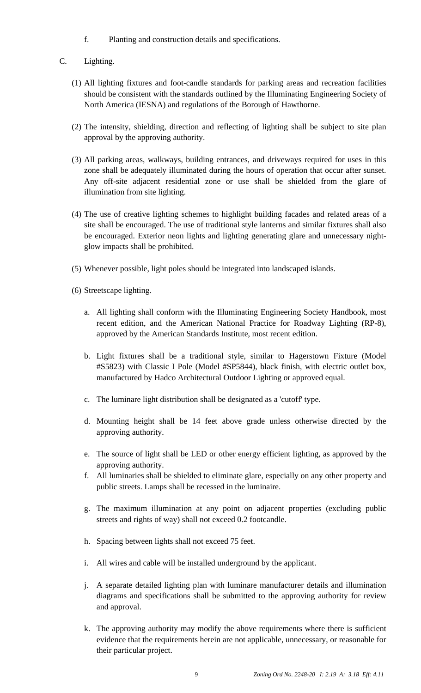- f. Planting and construction details and specifications.
- C. Lighting.
	- (1) All lighting fixtures and foot-candle standards for parking areas and recreation facilities should be consistent with the standards outlined by the Illuminating Engineering Society of North America (IESNA) and regulations of the Borough of Hawthorne.
	- (2) The intensity, shielding, direction and reflecting of lighting shall be subject to site plan approval by the approving authority.
	- (3) All parking areas, walkways, building entrances, and driveways required for uses in this zone shall be adequately illuminated during the hours of operation that occur after sunset. Any off-site adjacent residential zone or use shall be shielded from the glare of illumination from site lighting.
	- (4) The use of creative lighting schemes to highlight building facades and related areas of a site shall be encouraged. The use of traditional style lanterns and similar fixtures shall also be encouraged. Exterior neon lights and lighting generating glare and unnecessary nightglow impacts shall be prohibited.
	- (5) Whenever possible, light poles should be integrated into landscaped islands.
	- (6) Streetscape lighting.
		- a. All lighting shall conform with the Illuminating Engineering Society Handbook, most recent edition, and the American National Practice for Roadway Lighting (RP-8), approved by the American Standards Institute, most recent edition.
		- b. Light fixtures shall be a traditional style, similar to Hagerstown Fixture (Model #S5823) with Classic I Pole (Model #SP5844), black finish, with electric outlet box, manufactured by Hadco Architectural Outdoor Lighting or approved equal.
		- c. The luminare light distribution shall be designated as a 'cutoff' type.
		- d. Mounting height shall be 14 feet above grade unless otherwise directed by the approving authority.
		- e. The source of light shall be LED or other energy efficient lighting, as approved by the approving authority.
		- f. All luminaries shall be shielded to eliminate glare, especially on any other property and public streets. Lamps shall be recessed in the luminaire.
		- g. The maximum illumination at any point on adjacent properties (excluding public streets and rights of way) shall not exceed 0.2 footcandle.
		- h. Spacing between lights shall not exceed 75 feet.
		- i. All wires and cable will be installed underground by the applicant.
		- j. A separate detailed lighting plan with luminare manufacturer details and illumination diagrams and specifications shall be submitted to the approving authority for review and approval.
		- k. The approving authority may modify the above requirements where there is sufficient evidence that the requirements herein are not applicable, unnecessary, or reasonable for their particular project.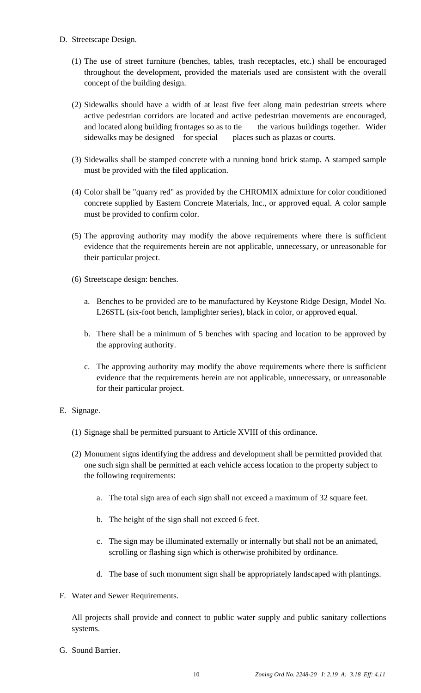- D. Streetscape Design.
	- (1) The use of street furniture (benches, tables, trash receptacles, etc.) shall be encouraged throughout the development, provided the materials used are consistent with the overall concept of the building design.
	- (2) Sidewalks should have a width of at least five feet along main pedestrian streets where active pedestrian corridors are located and active pedestrian movements are encouraged, and located along building frontages so as to tie the various buildings together. Wider sidewalks may be designed for special places such as plazas or courts.
	- (3) Sidewalks shall be stamped concrete with a running bond brick stamp. A stamped sample must be provided with the filed application.
	- (4) Color shall be "quarry red" as provided by the CHROMIX admixture for color conditioned concrete supplied by Eastern Concrete Materials, Inc., or approved equal. A color sample must be provided to confirm color.
	- (5) The approving authority may modify the above requirements where there is sufficient evidence that the requirements herein are not applicable, unnecessary, or unreasonable for their particular project.
	- (6) Streetscape design: benches.
		- a. Benches to be provided are to be manufactured by Keystone Ridge Design, Model No. L26STL (six-foot bench, lamplighter series), black in color, or approved equal.
		- b. There shall be a minimum of 5 benches with spacing and location to be approved by the approving authority.
		- c. The approving authority may modify the above requirements where there is sufficient evidence that the requirements herein are not applicable, unnecessary, or unreasonable for their particular project.
- E. Signage.
	- (1) Signage shall be permitted pursuant to Article XVIII of this ordinance.
	- (2) Monument signs identifying the address and development shall be permitted provided that one such sign shall be permitted at each vehicle access location to the property subject to the following requirements:
		- a. The total sign area of each sign shall not exceed a maximum of 32 square feet.
		- b. The height of the sign shall not exceed 6 feet.
		- c. The sign may be illuminated externally or internally but shall not be an animated, scrolling or flashing sign which is otherwise prohibited by ordinance.
		- d. The base of such monument sign shall be appropriately landscaped with plantings.
- F. Water and Sewer Requirements.

All projects shall provide and connect to public water supply and public sanitary collections systems.

G. Sound Barrier.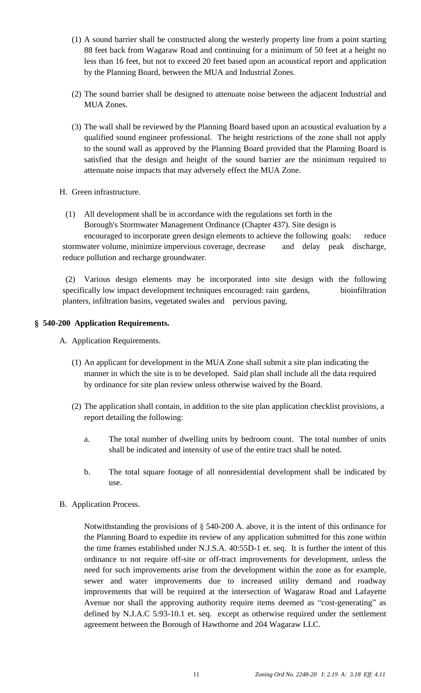- (1) A sound barrier shall be constructed along the westerly property line from a point starting 88 feet back from Wagaraw Road and continuing for a minimum of 50 feet at a height no less than 16 feet, but not to exceed 20 feet based upon an acoustical report and application by the Planning Board, between the MUA and Industrial Zones.
- (2) The sound barrier shall be designed to attenuate noise between the adjacent Industrial and MUA Zones.
- (3) The wall shall be reviewed by the Planning Board based upon an acoustical evaluation by a qualified sound engineer professional. The height restrictions of the zone shall not apply to the sound wall as approved by the Planning Board provided that the Planning Board is satisfied that the design and height of the sound barrier are the minimum required to attenuate noise impacts that may adversely effect the MUA Zone.
- H. Green infrastructure.
	- (1) All development shall be in accordance with the regulations set forth in the Borough's Stormwater Management Ordinance (Chapter 437). Site design is

encouraged to incorporate green design elements to achieve the following goals: reduce stormwater volume, minimize impervious coverage, decrease and delay peak discharge, reduce pollution and recharge groundwater.

(2) Various design elements may be incorporated into site design with the following specifically low impact development techniques encouraged: rain gardens, bioinfiltration planters, infiltration basins, vegetated swales and pervious paving.

### **§ 540-200 Application Requirements.**

A. Application Requirements.

- (1) An applicant for development in the MUA Zone shall submit a site plan indicating the manner in which the site is to be developed. Said plan shall include all the data required by ordinance for site plan review unless otherwise waived by the Board.
- (2) The application shall contain, in addition to the site plan application checklist provisions, a report detailing the following:
	- a. The total number of dwelling units by bedroom count. The total number of units shall be indicated and intensity of use of the entire tract shall be noted.
	- b. The total square footage of all nonresidential development shall be indicated by use.
- B. Application Process.

Notwithstanding the provisions of § 540-200 A. above, it is the intent of this ordinance for the Planning Board to expedite its review of any application submitted for this zone within the time frames established under N.J.S.A. 40:55D-1 et. seq. It is further the intent of this ordinance to not require off-site or off-tract improvements for development, unless the need for such improvements arise from the development within the zone as for example, sewer and water improvements due to increased utility demand and roadway improvements that will be required at the intersection of Wagaraw Road and Lafayette Avenue nor shall the approving authority require items deemed as "cost-generating" as defined by N.J.A.C 5:93-10.1 et. seq. except as otherwise required under the settlement agreement between the Borough of Hawthorne and 204 Wagaraw LLC.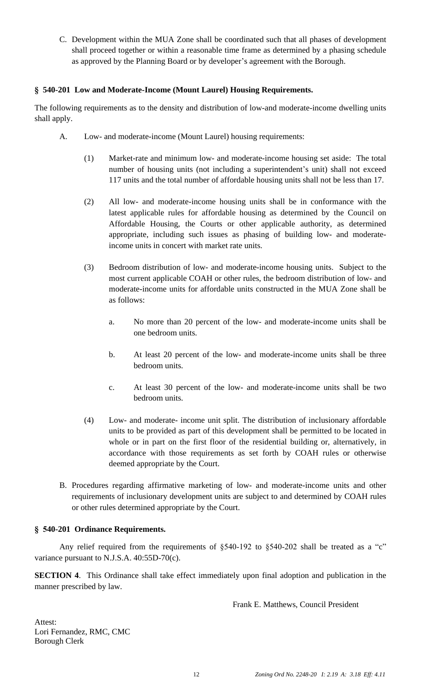C. Development within the MUA Zone shall be coordinated such that all phases of development shall proceed together or within a reasonable time frame as determined by a phasing schedule as approved by the Planning Board or by developer's agreement with the Borough.

## **§ 540-201 Low and Moderate-Income (Mount Laurel) Housing Requirements.**

The following requirements as to the density and distribution of low-and moderate-income dwelling units shall apply.

- A. Low- and moderate-income (Mount Laurel) housing requirements:
	- (1) Market-rate and minimum low- and moderate-income housing set aside: The total number of housing units (not including a superintendent's unit) shall not exceed 117 units and the total number of affordable housing units shall not be less than 17.
	- (2) All low- and moderate-income housing units shall be in conformance with the latest applicable rules for affordable housing as determined by the Council on Affordable Housing, the Courts or other applicable authority, as determined appropriate, including such issues as phasing of building low- and moderateincome units in concert with market rate units.
	- (3) Bedroom distribution of low- and moderate-income housing units. Subject to the most current applicable COAH or other rules, the bedroom distribution of low- and moderate-income units for affordable units constructed in the MUA Zone shall be as follows:
		- a. No more than 20 percent of the low- and moderate-income units shall be one bedroom units.
		- b. At least 20 percent of the low- and moderate-income units shall be three bedroom units.
		- c. At least 30 percent of the low- and moderate-income units shall be two bedroom units.
	- (4) Low- and moderate- income unit split. The distribution of inclusionary affordable units to be provided as part of this development shall be permitted to be located in whole or in part on the first floor of the residential building or, alternatively, in accordance with those requirements as set forth by COAH rules or otherwise deemed appropriate by the Court.
- B. Procedures regarding affirmative marketing of low- and moderate-income units and other requirements of inclusionary development units are subject to and determined by COAH rules or other rules determined appropriate by the Court.

#### **§ 540-201 Ordinance Requirements.**

Any relief required from the requirements of §540-192 to §540-202 shall be treated as a "c" variance pursuant to N.J.S.A. 40:55D-70(c).

**SECTION 4**. This Ordinance shall take effect immediately upon final adoption and publication in the manner prescribed by law.

Frank E. Matthews, Council President

Attest: Lori Fernandez, RMC, CMC Borough Clerk